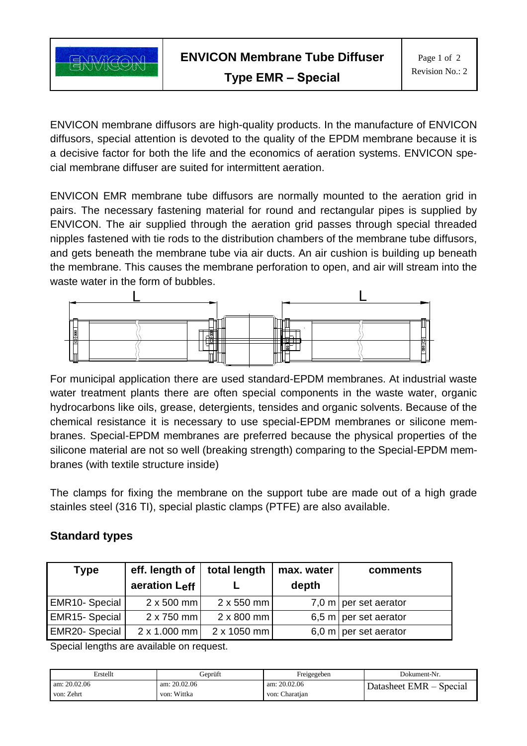

ENVICON membrane diffusors are high-quality products. In the manufacture of ENVICON diffusors, special attention is devoted to the quality of the EPDM membrane because it is a decisive factor for both the life and the economics of aeration systems. ENVICON special membrane diffuser are suited for intermittent aeration.

ENVICON EMR membrane tube diffusors are normally mounted to the aeration grid in pairs. The necessary fastening material for round and rectangular pipes is supplied by ENVICON. The air supplied through the aeration grid passes through special threaded nipples fastened with tie rods to the distribution chambers of the membrane tube diffusors, and gets beneath the membrane tube via air ducts. An air cushion is building up beneath the membrane. This causes the membrane perforation to open, and air will stream into the waste water in the form of bubbles.



For municipal application there are used standard-EPDM membranes. At industrial waste water treatment plants there are often special components in the waste water, organic hydrocarbons like oils, grease, detergients, tensides and organic solvents. Because of the chemical resistance it is necessary to use special-EPDM membranes or silicone membranes. Special-EPDM membranes are preferred because the physical properties of the silicone material are not so well (breaking strength) comparing to the Special-EPDM membranes (with textile structure inside)

The clamps for fixing the membrane on the support tube are made out of a high grade stainles steel (316 TI), special plastic clamps (PTFE) are also available.

## **Standard types**

| <b>Type</b>    | eff. length of<br>aeration Leff | total length       | max. water<br>depth | comments                |
|----------------|---------------------------------|--------------------|---------------------|-------------------------|
| EMR10- Special | $2 \times 500$ mm               | $2 \times 550$ mm  |                     | 7,0 m   per set aerator |
| EMR15-Special  | $2 \times 750$ mm               | $2 \times 800$ mm  |                     | 6,5 m   per set aerator |
| EMR20-Special  | 2 x 1.000 mm                    | $2 \times 1050$ mm |                     | 6,0 m   per set aerator |

Special lengths are available on request.

| Erstellt       | Geprüft        | Freigegeben    | Dokument-Nr.               |
|----------------|----------------|----------------|----------------------------|
| am: $20.02.06$ | am: $20.02.06$ | am: $20.02.06$ | Datasheet EMR –<br>Special |
| von: Zehrt     | von: Wittka    | von: Charatian |                            |